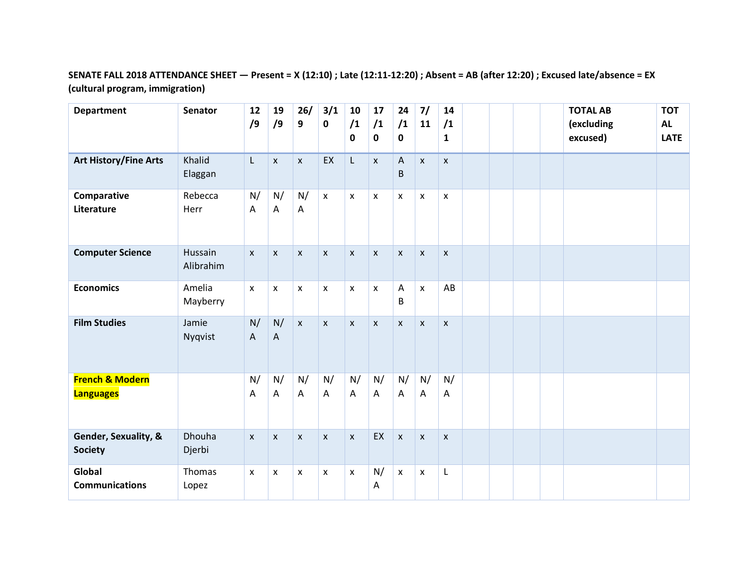## **SENATE FALL 2018 ATTENDANCE SHEET — Present = X (12:10) ; Late (12:11-12:20) ; Absent = AB (after 12:20) ; Excused late/absence = EX (cultural program, immigration)**

| <b>Department</b>                              | <b>Senator</b>       | 12<br>/9       | 19<br>/9           | 26/<br>9           | 3/1<br>0           | 10<br>/1<br>$\mathbf 0$         | 17<br>/1<br>$\mathbf 0$ | 24<br>/1<br>$\mathbf 0$ | 7/<br>11           | 14<br>/1<br>$\mathbf{1}$ |  |  | <b>TOTAL AB</b><br>(excluding<br>excused) | <b>TOT</b><br><b>AL</b><br><b>LATE</b> |
|------------------------------------------------|----------------------|----------------|--------------------|--------------------|--------------------|---------------------------------|-------------------------|-------------------------|--------------------|--------------------------|--|--|-------------------------------------------|----------------------------------------|
| <b>Art History/Fine Arts</b>                   | Khalid<br>Elaggan    | L              | $\pmb{\mathsf{x}}$ | $\pmb{\mathsf{X}}$ | EX                 | L                               | $\pmb{\mathsf{X}}$      | $\mathsf{A}$<br>B       | $\pmb{\chi}$       | $\mathsf{x}$             |  |  |                                           |                                        |
| Comparative<br>Literature                      | Rebecca<br>Herr      | N/<br>A        | N/<br>A            | N/<br>A            | $\pmb{\mathsf{x}}$ | $\pmb{\times}$                  | X                       | $\mathsf{X}$            | $\mathsf{x}$       | $\pmb{\times}$           |  |  |                                           |                                        |
| <b>Computer Science</b>                        | Hussain<br>Alibrahim | $\mathsf{x}$   | $\mathsf{x}$       | $\mathsf{x}$       | $\mathsf{x}$       | $\mathsf{x}$                    | $\mathsf{X}$            | $\mathsf{x}$            | $\mathsf{x}$       | $\mathsf{x}$             |  |  |                                           |                                        |
| <b>Economics</b>                               | Amelia<br>Mayberry   | $\pmb{\times}$ | X                  | X                  | X                  | $\pmb{\times}$                  | $\pmb{\mathsf{X}}$      | A<br>B                  | $\pmb{\chi}$       | AB                       |  |  |                                           |                                        |
| <b>Film Studies</b>                            | Jamie<br>Nyqvist     | N/<br>A        | N/<br>$\mathsf{A}$ | $\mathsf{x}$       | $\pmb{\mathsf{x}}$ | $\pmb{\mathsf{X}}$              | $\pmb{\mathsf{x}}$      | $\mathsf X$             | $\pmb{\chi}$       | $\pmb{\mathsf{X}}$       |  |  |                                           |                                        |
| <b>French &amp; Modern</b><br><b>Languages</b> |                      | N/<br>A        | N/<br>A            | N/<br>A            | N/<br>A            | N/<br>$\boldsymbol{\mathsf{A}}$ | N/<br>A                 | N/<br>A                 | N/<br>$\mathsf{A}$ | N/<br>Α                  |  |  |                                           |                                        |
| Gender, Sexuality, &<br><b>Society</b>         | Dhouha<br>Djerbi     | $\mathsf{x}$   | $\mathsf{x}$       | $\mathsf{x}$       | $\mathsf{x}$       | $\mathsf{x}$                    | EX                      | $\pmb{\times}$          | $\mathsf{x}$       | $\mathsf{x}$             |  |  |                                           |                                        |
| Global<br><b>Communications</b>                | Thomas<br>Lopez      | $\mathsf{x}$   | X                  | X                  | x                  | X                               | N/<br>A                 | $\mathsf{x}$            | $\pmb{\chi}$       | L                        |  |  |                                           |                                        |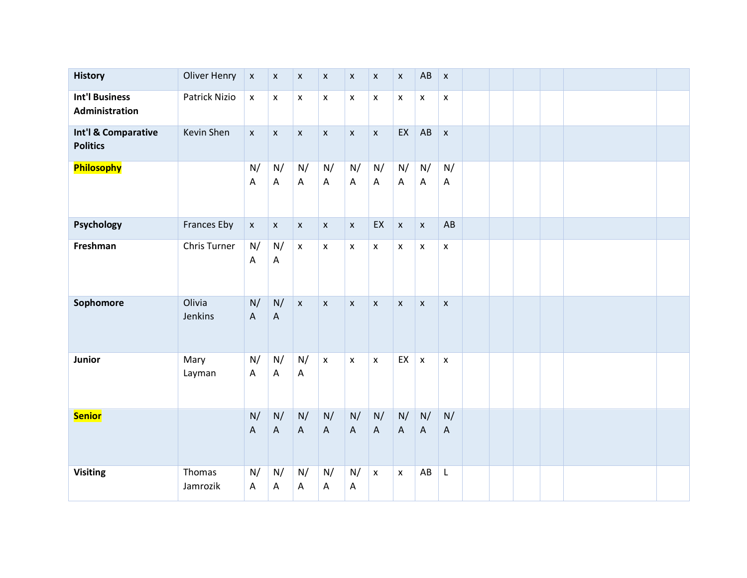| <b>History</b>                          | <b>Oliver Henry</b> | $\pmb{\mathsf{X}}$              | $\pmb{\mathsf{X}}$              | $\pmb{\mathsf{X}}$              | $\pmb{\mathsf{X}}$ | $\pmb{\mathsf{X}}$              | $\pmb{\mathsf{x}}$              | $\pmb{\mathsf{x}}$              | AB                        | $\pmb{\mathsf{x}}$              |  |  |  |
|-----------------------------------------|---------------------|---------------------------------|---------------------------------|---------------------------------|--------------------|---------------------------------|---------------------------------|---------------------------------|---------------------------|---------------------------------|--|--|--|
| <b>Int'l Business</b><br>Administration | Patrick Nizio       | $\pmb{\mathsf{x}}$              | $\pmb{\mathsf{X}}$              | $\pmb{\mathsf{X}}$              | $\pmb{\mathsf{X}}$ | $\pmb{\mathsf{x}}$              | $\pmb{\mathsf{x}}$              | $\pmb{\mathsf{X}}$              | $\pmb{\mathsf{x}}$        | $\pmb{\mathsf{x}}$              |  |  |  |
| Int'l & Comparative<br><b>Politics</b>  | Kevin Shen          | $\pmb{\mathsf{X}}$              | $\pmb{\mathsf{x}}$              | $\pmb{\mathsf{x}}$              | $\pmb{\mathsf{x}}$ | $\pmb{\mathsf{X}}$              | $\pmb{\mathsf{x}}$              | EX                              | AB                        | $\pmb{\mathsf{x}}$              |  |  |  |
| <b>Philosophy</b>                       |                     | N/<br>Α                         | N/<br>$\boldsymbol{\mathsf{A}}$ | N/<br>$\mathsf{A}$              | N/<br>A            | N/<br>$\boldsymbol{\mathsf{A}}$ | N/<br>$\boldsymbol{\mathsf{A}}$ | N/<br>$\mathsf{A}$              | N/<br>$\overline{A}$      | N/<br>A                         |  |  |  |
| <b>Psychology</b>                       | <b>Frances Eby</b>  | $\pmb{\mathsf{x}}$              | $\pmb{\mathsf{x}}$              | $\pmb{\mathsf{X}}$              | $\pmb{\mathsf{x}}$ | $\pmb{\mathsf{x}}$              | EX                              | $\pmb{\mathsf{x}}$              | $\pmb{\mathsf{x}}$        | AB                              |  |  |  |
| Freshman                                | <b>Chris Turner</b> | N/<br>$\mathsf A$               | N/<br>A                         | $\pmb{\mathsf{x}}$              | $\pmb{\mathsf{X}}$ | $\pmb{\mathsf{x}}$              | $\pmb{\mathsf{x}}$              | $\pmb{\mathsf{x}}$              | $\pmb{\times}$            | $\pmb{\times}$                  |  |  |  |
| Sophomore                               | Olivia<br>Jenkins   | N/<br>$\boldsymbol{A}$          | N/<br>$\boldsymbol{\mathsf{A}}$ | $\pmb{\mathsf{X}}$              | $\pmb{\mathsf{X}}$ | $\pmb{\mathsf{x}}$              | $\pmb{\mathsf{x}}$              | $\pmb{\mathsf{x}}$              | $\pmb{\chi}$              | $\pmb{\chi}$                    |  |  |  |
| Junior                                  | Mary<br>Layman      | N/<br>$\boldsymbol{\mathsf{A}}$ | N/<br>$\boldsymbol{\mathsf{A}}$ | N/<br>$\mathsf{A}$              | $\pmb{\mathsf{x}}$ | $\pmb{\mathsf{x}}$              | $\pmb{\mathsf{x}}$              | EX                              | $\boldsymbol{\mathsf{x}}$ | $\pmb{\times}$                  |  |  |  |
| <b>Senior</b>                           |                     | N/<br>$\mathsf A$               | N/<br>$\boldsymbol{\mathsf{A}}$ | N/<br>$\boldsymbol{\mathsf{A}}$ | N/<br>$\mathsf{A}$ | N/<br>$\mathsf{A}$              | N/<br>$\mathsf A$               | N/<br>$\boldsymbol{\mathsf{A}}$ | N/<br>$\mathsf{A}$        | N/<br>$\boldsymbol{\mathsf{A}}$ |  |  |  |
| <b>Visiting</b>                         | Thomas<br>Jamrozik  | N/<br>A                         | N/<br>A                         | N/<br>A                         | N/<br>A            | N/<br>A                         | $\pmb{\chi}$                    | $\pmb{\times}$                  | ${\sf AB}$                | $\mathsf L$                     |  |  |  |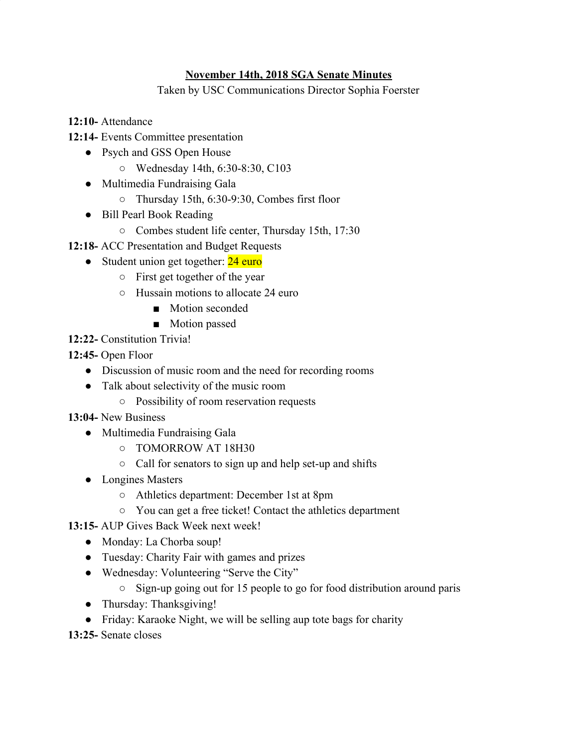## **November 14th, 2018 SGA Senate Minutes**

Taken by USC Communications Director Sophia Foerster

**12:10-** Attendance

- **12:14-** Events Committee presentation
	- Psych and GSS Open House
		- Wednesday 14th, 6:30-8:30, C103
	- Multimedia Fundraising Gala
		- Thursday 15th, 6:30-9:30, Combes first floor
	- Bill Pearl Book Reading
		- Combes student life center, Thursday 15th, 17:30
- **12:18-** ACC Presentation and Budget Requests
	- Student union get together: 24 euro
		- First get together of the year
		- Hussain motions to allocate 24 euro
			- Motion seconded
			- Motion passed
- **12:22-** Constitution Trivia!
- **12:45-** Open Floor
	- Discussion of music room and the need for recording rooms
	- Talk about selectivity of the music room
		- Possibility of room reservation requests
- **13:04-** New Business
	- Multimedia Fundraising Gala
		- TOMORROW AT 18H30
		- Call for senators to sign up and help set-up and shifts
	- Longines Masters
		- Athletics department: December 1st at 8pm
		- You can get a free ticket! Contact the athletics department
- **13:15-** AUP Gives Back Week next week!
	- Monday: La Chorba soup!
	- Tuesday: Charity Fair with games and prizes
	- Wednesday: Volunteering "Serve the City"
		- Sign-up going out for 15 people to go for food distribution around paris
	- Thursday: Thanksgiving!
	- Friday: Karaoke Night, we will be selling aup tote bags for charity
- **13:25-** Senate closes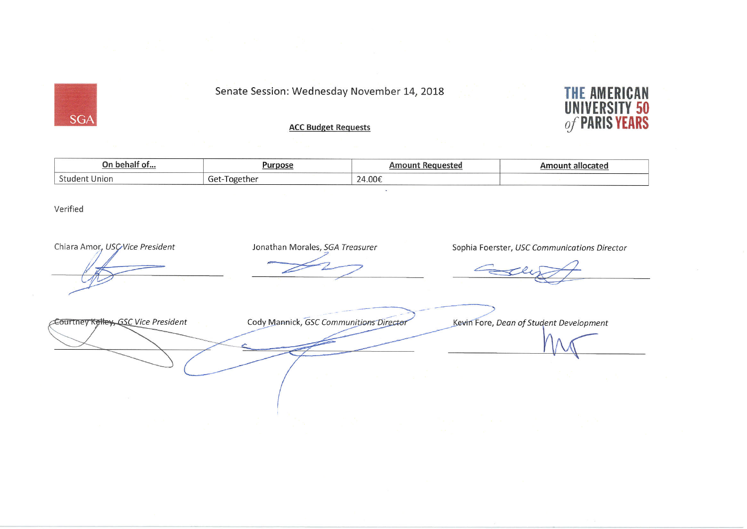Senate Session: Wednesday November 14, 2018

## **ACC Budget Requests**



| On<br>h.<br>hall<br>U | Durnace<br>and a second company of the first party of the property of the property of the company of the |                              | 3 L C U |
|-----------------------|----------------------------------------------------------------------------------------------------------|------------------------------|---------|
| <u>.</u>              | - U.                                                                                                     | $\bigcap_{i \in \mathbb{N}}$ |         |
| nion                  | ːher                                                                                                     | $\overline{\phantom{0}}$     |         |
| . .                   | uc.                                                                                                      | $\cdot$                      |         |

Verified

**SGA** 

Chiara Amor., USC Vice President Jonathan Morales, SGA Treasurer Sophia Foerster, USC Communications Director Cody Mannick, GSC Communitions Director Courtney Kelley, GSC Vice President Kevin Fore, Dean of Student Development